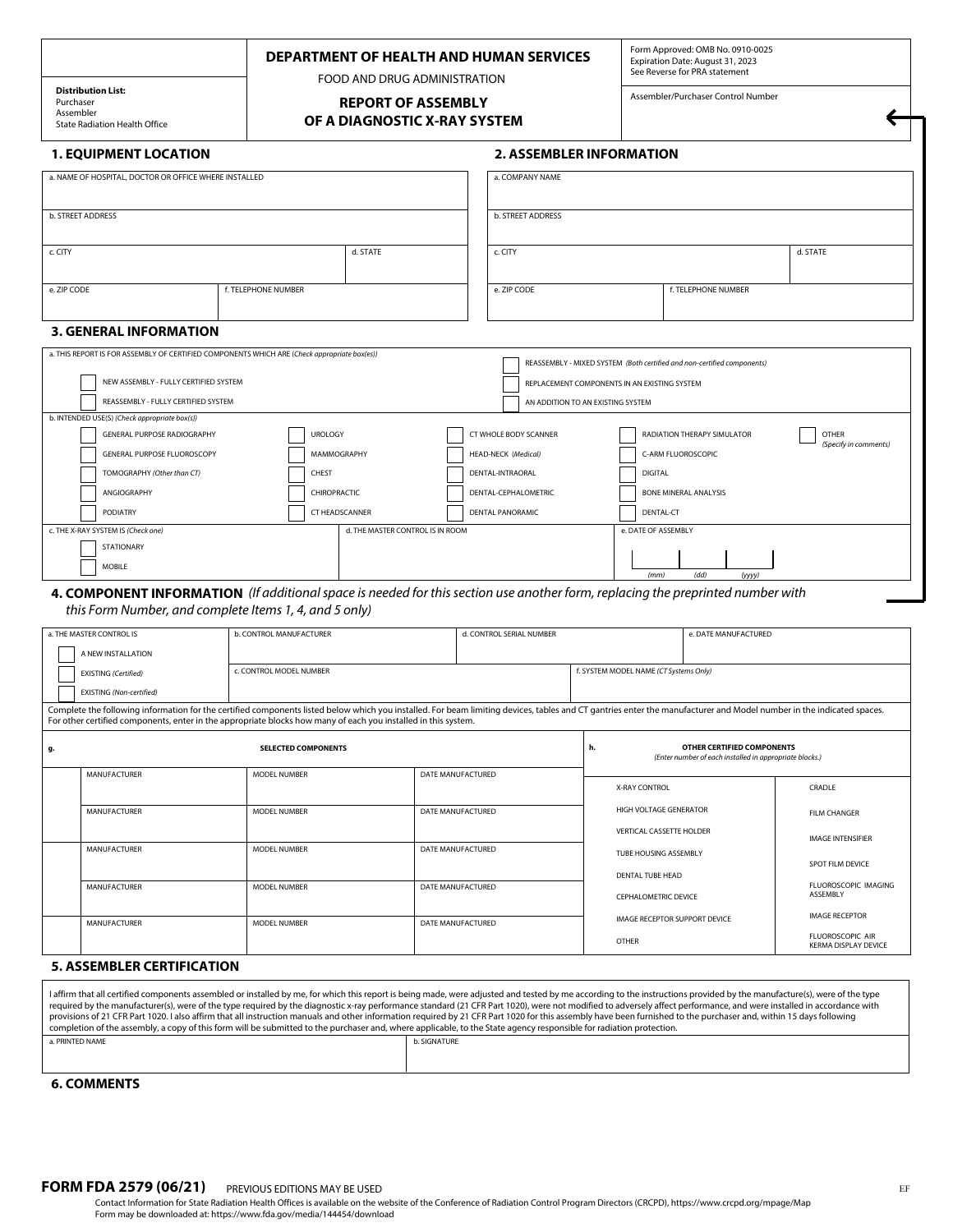FOOD AND DRUG ADMINISTRATION **REPORT OF ASSEMBLY** 

**OF A DIAGNOSTIC X-RAY SYSTEM**

Form Approved: OMB No. 0910-0025 Expiration Date: August 31, 2023 See Reverse for PRA statement

Assembler/Purchaser Control Number

←

**Distribution List:**  Purchaser Assembler State Radiation Health Office

# **1. EQUIPMENT LOCATION**

# **2. ASSEMBLER INFORMATION**

| a. NAME OF HOSPITAL, DOCTOR OR OFFICE WHERE INSTALLED                                                                                                                   |                     |                                  | a. COMPANY NAME         |                                              |                                             |                       |  |  |  |
|-------------------------------------------------------------------------------------------------------------------------------------------------------------------------|---------------------|----------------------------------|-------------------------|----------------------------------------------|---------------------------------------------|-----------------------|--|--|--|
| b. STREET ADDRESS                                                                                                                                                       |                     |                                  | b. STREET ADDRESS       |                                              |                                             |                       |  |  |  |
| c. CITY                                                                                                                                                                 |                     | d. STATE                         | c. CITY                 | d. STATE                                     |                                             |                       |  |  |  |
| e. ZIP CODE                                                                                                                                                             | f. TELEPHONE NUMBER |                                  | e. ZIP CODE             |                                              | f. TELEPHONE NUMBER                         |                       |  |  |  |
| <b>3. GENERAL INFORMATION</b>                                                                                                                                           |                     |                                  |                         |                                              |                                             |                       |  |  |  |
| a. THIS REPORT IS FOR ASSEMBLY OF CERTIFIED COMPONENTS WHICH ARE (Check appropriate box(es))<br>REASSEMBLY - MIXED SYSTEM (Both certified and non-certified components) |                     |                                  |                         |                                              |                                             |                       |  |  |  |
| NEW ASSEMBLY - FULLY CERTIFIED SYSTEM                                                                                                                                   |                     |                                  |                         | REPLACEMENT COMPONENTS IN AN EXISTING SYSTEM |                                             |                       |  |  |  |
| REASSEMBLY - FULLY CERTIFIED SYSTEM                                                                                                                                     |                     |                                  |                         | AN ADDITION TO AN EXISTING SYSTEM            |                                             |                       |  |  |  |
| b. INTENDED USE(S) (Check appropriate box(s))                                                                                                                           |                     |                                  |                         |                                              |                                             |                       |  |  |  |
| GENERAL PURPOSE RADIOGRAPHY                                                                                                                                             | <b>UROLOGY</b>      |                                  | CT WHOLE BODY SCANNER   |                                              | RADIATION THERAPY SIMULATOR<br><b>OTHER</b> |                       |  |  |  |
| GENERAL PURPOSE FLUOROSCOPY                                                                                                                                             | MAMMOGRAPHY         |                                  | HEAD-NECK (Medical)     | C-ARM FLUOROSCOPIC                           |                                             | (Specify in comments) |  |  |  |
| TOMOGRAPHY (Other than CT)                                                                                                                                              | CHEST               |                                  | <b>DENTAL-INTRAORAL</b> | <b>DIGITAL</b>                               |                                             |                       |  |  |  |
| ANGIOGRAPHY                                                                                                                                                             | CHIROPRACTIC        |                                  | DENTAL-CEPHALOMETRIC    | <b>BONE MINERAL ANALYSIS</b>                 |                                             |                       |  |  |  |
| PODIATRY                                                                                                                                                                | CT HEADSCANNER      |                                  | <b>DENTAL PANORAMIC</b> |                                              | DENTAL-CT                                   |                       |  |  |  |
| c. THE X-RAY SYSTEM IS (Check one)                                                                                                                                      |                     | d. THE MASTER CONTROL IS IN ROOM |                         | e. DATE OF ASSEMBLY                          |                                             |                       |  |  |  |
| <b>STATIONARY</b>                                                                                                                                                       |                     |                                  |                         |                                              |                                             |                       |  |  |  |
| <b>MOBILE</b>                                                                                                                                                           |                     |                                  |                         | (mm)                                         | (dd)<br>(yyyy)                              |                       |  |  |  |

**4. COMPONENT INFORMATION** *(If additional space is needed for this section use another form, replacing the preprinted number with this Form Number, and complete Items 1, 4, and 5 only)*

|                                                                                                                                                                                                                                                                                                                                        | a. THE MASTER CONTROL IS<br><b>b. CONTROL MANUFACTURER</b> |                                          |                   | d. CONTROL SERIAL NUMBER |                                                                                             | e. DATE MANUFACTURED |                                                        |  |  |  |  |
|----------------------------------------------------------------------------------------------------------------------------------------------------------------------------------------------------------------------------------------------------------------------------------------------------------------------------------------|------------------------------------------------------------|------------------------------------------|-------------------|--------------------------|---------------------------------------------------------------------------------------------|----------------------|--------------------------------------------------------|--|--|--|--|
|                                                                                                                                                                                                                                                                                                                                        | A NEW INSTALLATION                                         |                                          |                   |                          |                                                                                             |                      |                                                        |  |  |  |  |
|                                                                                                                                                                                                                                                                                                                                        | <b>EXISTING</b> (Certified)                                | c. CONTROL MODEL NUMBER                  |                   |                          | f. SYSTEM MODEL NAME (CT Systems Only)                                                      |                      |                                                        |  |  |  |  |
|                                                                                                                                                                                                                                                                                                                                        | EXISTING (Non-certified)                                   |                                          |                   |                          |                                                                                             |                      |                                                        |  |  |  |  |
| Complete the following information for the certified components listed below which you installed. For beam limiting devices, tables and CT gantries enter the manufacturer and Model number in the indicated spaces.<br>For other certified components, enter in the appropriate blocks how many of each you installed in this system. |                                                            |                                          |                   |                          |                                                                                             |                      |                                                        |  |  |  |  |
| <b>SELECTED COMPONENTS</b><br>g.                                                                                                                                                                                                                                                                                                       |                                                            |                                          |                   |                          | OTHER CERTIFIED COMPONENTS<br>h.<br>(Enter number of each installed in appropriate blocks.) |                      |                                                        |  |  |  |  |
|                                                                                                                                                                                                                                                                                                                                        | <b>MANUFACTURER</b>                                        | DATE MANUFACTURED<br><b>MODEL NUMBER</b> |                   |                          |                                                                                             |                      |                                                        |  |  |  |  |
|                                                                                                                                                                                                                                                                                                                                        |                                                            |                                          |                   |                          | X-RAY CONTROL                                                                               |                      | CRADLE                                                 |  |  |  |  |
|                                                                                                                                                                                                                                                                                                                                        | <b>MANUFACTURER</b>                                        | MODEL NUMBER                             |                   | DATE MANUFACTURED        | HIGH VOLTAGE GENERATOR<br>VERTICAL CASSETTE HOLDER                                          |                      | <b>FILM CHANGER</b>                                    |  |  |  |  |
|                                                                                                                                                                                                                                                                                                                                        |                                                            |                                          |                   |                          |                                                                                             |                      | <b>IMAGE INTENSIFIER</b>                               |  |  |  |  |
|                                                                                                                                                                                                                                                                                                                                        | <b>MANUFACTURER</b>                                        | MODEL NUMBER                             |                   | DATE MANUFACTURED        | TUBE HOUSING ASSEMBLY                                                                       |                      |                                                        |  |  |  |  |
|                                                                                                                                                                                                                                                                                                                                        |                                                            |                                          |                   |                          |                                                                                             |                      | SPOT FILM DEVICE                                       |  |  |  |  |
|                                                                                                                                                                                                                                                                                                                                        | <b>MANUFACTURER</b>                                        | MODEL NUMBER                             | DATE MANUFACTURED |                          | <b>DENTAL TUBE HEAD</b>                                                                     |                      | FLUOROSCOPIC IMAGING                                   |  |  |  |  |
|                                                                                                                                                                                                                                                                                                                                        |                                                            |                                          |                   |                          | <b>CEPHALOMETRIC DEVICE</b>                                                                 |                      | ASSEMBLY                                               |  |  |  |  |
|                                                                                                                                                                                                                                                                                                                                        | <b>MANUFACTURER</b>                                        | MODEL NUMBER                             | DATE MANUFACTURED |                          | <b>IMAGE RECEPTOR SUPPORT DEVICE</b>                                                        |                      | <b>IMAGE RECEPTOR</b>                                  |  |  |  |  |
|                                                                                                                                                                                                                                                                                                                                        |                                                            |                                          |                   |                          | OTHER                                                                                       |                      | <b>FLUOROSCOPIC AIR</b><br><b>KERMA DISPLAY DEVICE</b> |  |  |  |  |

## **5. ASSEMBLER CERTIFICATION**

| provisions of 21 CFR Part 1020. I also affirm that all instruction manuals and other information required by 21 CFR Part 1020 for this assembly have been furnished to the purchaser and, within 15 days following |  |  |  |  |  |  |  |  |
|--------------------------------------------------------------------------------------------------------------------------------------------------------------------------------------------------------------------|--|--|--|--|--|--|--|--|
| completion of the assembly, a copy of this form will be submitted to the purchaser and, where applicable, to the State agency responsible for radiation protection.                                                |  |  |  |  |  |  |  |  |
|                                                                                                                                                                                                                    |  |  |  |  |  |  |  |  |
|                                                                                                                                                                                                                    |  |  |  |  |  |  |  |  |
|                                                                                                                                                                                                                    |  |  |  |  |  |  |  |  |
|                                                                                                                                                                                                                    |  |  |  |  |  |  |  |  |

#### **6. COMMENTS**

 $\overline{1}$ 

**FORM FDA 2579 (06/21)** PREVIOUS EDITIONS MAY BE USED **EXAMPLE ASSESSED FORM FDA 2579 (06/21)** PREVIOUS EDITIONS MAY BE USED